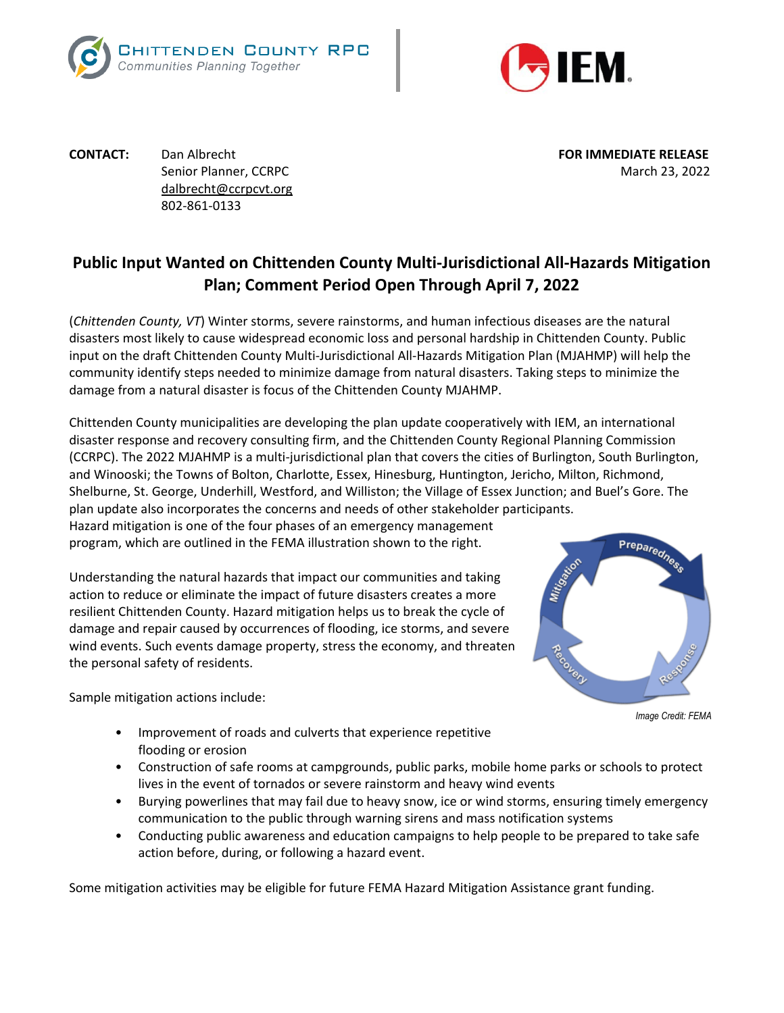



**CONTACT:** Dan Albrecht **FOR IMMEDIATE RELEASE** [dalbrecht@ccrpcvt.org](mailto:dalbrecht@ccrpcvt.org) 802-861-0133

Senior Planner, CCRPC March 23, 2022

## **Public Input Wanted on Chittenden County Multi-Jurisdictional All-Hazards Mitigation Plan; Comment Period Open Through April 7, 2022**

(*Chittenden County, VT*) Winter storms, severe rainstorms, and human infectious diseases are the natural disasters most likely to cause widespread economic loss and personal hardship in Chittenden County. Public input on the draft Chittenden County Multi-Jurisdictional All-Hazards Mitigation Plan (MJAHMP) will help the community identify steps needed to minimize damage from natural disasters. Taking steps to minimize the damage from a natural disaster is focus of the Chittenden County MJAHMP.

Chittenden County municipalities are developing the plan update cooperatively with IEM, an international disaster response and recovery consulting firm, and the Chittenden County Regional Planning Commission (CCRPC). The 2022 MJAHMP is a multi-jurisdictional plan that covers the cities of Burlington, South Burlington, and Winooski; the Towns of Bolton, Charlotte, Essex, Hinesburg, Huntington, Jericho, Milton, Richmond, Shelburne, St. George, Underhill, Westford, and Williston; the Village of Essex Junction; and Buel's Gore. The plan update also incorporates the concerns and needs of other stakeholder participants. Hazard mitigation is one of the four phases of an emergency management

program, which are outlined in the FEMA illustration shown to the right.

Understanding the natural hazards that impact our communities and taking action to reduce or eliminate the impact of future disasters creates a more resilient Chittenden County. Hazard mitigation helps us to break the cycle of damage and repair caused by occurrences of flooding, ice storms, and severe wind events. Such events damage property, stress the economy, and threaten the personal safety of residents.

Preparedness

Sample mitigation actions include:

*Image Credit: FEMA*

- Improvement of roads and culverts that experience repetitive flooding or erosion
- Construction of safe rooms at campgrounds, public parks, mobile home parks or schools to protect lives in the event of tornados or severe rainstorm and heavy wind events
- Burying powerlines that may fail due to heavy snow, ice or wind storms, ensuring timely emergency communication to the public through warning sirens and mass notification systems
- Conducting public awareness and education campaigns to help people to be prepared to take safe action before, during, or following a hazard event.

Some mitigation activities may be eligible for future FEMA Hazard Mitigation Assistance grant funding.